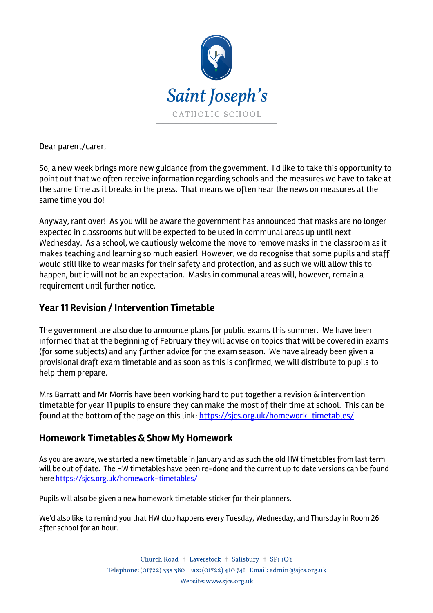

Dear parent/carer,

So, a new week brings more new guidance from the government. I'd like to take this opportunity to point out that we often receive information regarding schools and the measures we have to take at the same time as it breaks in the press. That means we often hear the news on measures at the same time you do!

Anyway, rant over! As you will be aware the government has announced that masks are no longer expected in classrooms but will be expected to be used in communal areas up until next Wednesday. As a school, we cautiously welcome the move to remove masks in the classroom as it makes teaching and learning so much easier! However, we do recognise that some pupils and staff would still like to wear masks for their safety and protection, and as such we will allow this to happen, but it will not be an expectation. Masks in communal areas will, however, remain a requirement until further notice.

### **Year 11 Revision / Intervention Timetable**

The government are also due to announce plans for public exams this summer. We have been informed that at the beginning of February they will advise on topics that will be covered in exams (for some subjects) and any further advice for the exam season. We have already been given a provisional draft exam timetable and as soon as this is confirmed, we will distribute to pupils to help them prepare.

Mrs Barratt and Mr Morris have been working hard to put together a revision & intervention timetable for year 11 pupils to ensure they can make the most of their time at school. This can be found at the bottom of the page on this link: https://sjcs.org.uk/homework-timetables/

#### **Homework Timetables & Show My Homework**

As you are aware, we started a new timetable in January and as such the old HW timetables from last term will be out of date. The HW timetables have been re-done and the current up to date versions can be found here https://sjcs.org.uk/homework-timetables/

Pupils will also be given a new homework timetable sticker for their planners.

We'd also like to remind you that HW club happens every Tuesday, Wednesday, and Thursday in Room 26 after school for an hour.

> Church Road + Laverstock + Salisbury + SPI IQY Telephone: (01722) 335 380 Fax: (01722) 410 741 Email: admin@sjcs.org.uk Website: www.sjcs.org.uk